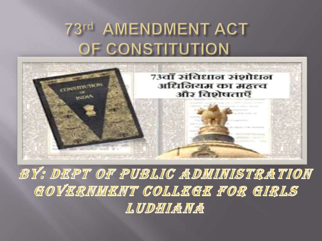### 73rd AMENDMENT ACT OF CONSTITUTION



BY: DEPT OF PUBLIC ADMINISTRATION GOVERNMENT COLLEGE FOR GIRLS LUDHIAMA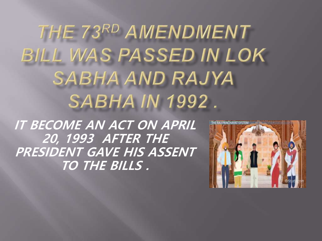THE 73RD AMENDMENT BILL WAS PASSED IN LOK **SABHA AND RAJYA SABHA IN 1992.** 

**IT BECOME AN ACT ON APRIL 20, 1993 AFTER THE PRESIDENT GAVE HIS ASSENT TO THE BILLS .**

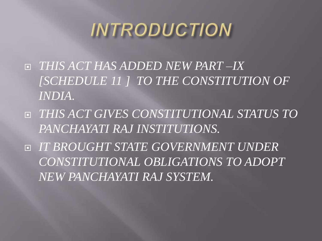# **INTRODUCTION**

- *THIS ACT HAS ADDED NEW PART –IX [SCHEDULE 11 ] TO THE CONSTITUTION OF INDIA.*
- *THIS ACT GIVES CONSTITUTIONAL STATUS TO PANCHAYATI RAJ INSTITUTIONS.*
- *IT BROUGHT STATE GOVERNMENT UNDER CONSTITUTIONAL OBLIGATIONS TO ADOPT NEW PANCHAYATI RAJ SYSTEM.*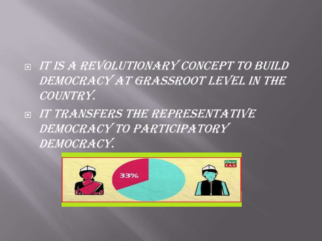- IT IS A REVOLUTIONARY CONCEPT TO BUILD DEMOCRACY AT GRASSROOT LEVEL IN THE COUNTRY.
- IT TRANSFERS THE REPRESENTATIVE DEMOCRACY TO PARTICIPATORY DEMOCRACY.

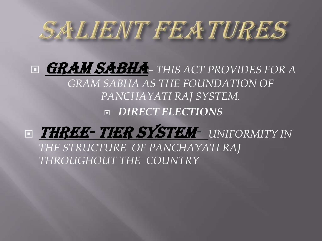

 GRAM SABHA*– THIS ACT PROVIDES FOR A GRAM SABHA AS THE FOUNDATION OF PANCHAYATI RAJ SYSTEM. DIRECT ELECTIONS*



*THE STRUCTURE OF PANCHAYATI RAJ THROUGHOUT THE COUNTRY*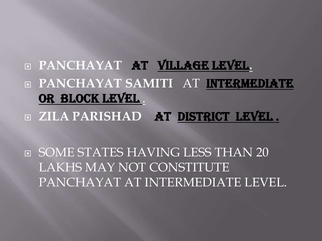### **PANCHAYAT AT VILLAGE LEVEL. PANCHAYAT SAMITI** AT INTERMEDIATE OR BLOCK LEVEL

**ZILA PARISHAD** AT DISTRICT LEVEL .

**E** SOME STATES HAVING LESS THAN 20 LAKHS MAY NOT CONSTITUTE PANCHAYAT AT INTERMEDIATE LEVEL.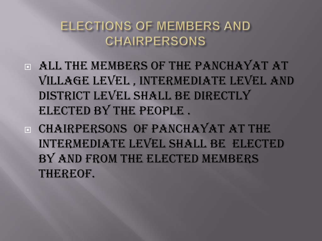#### ELECTIONS OF MEMBERS AND **CHAIRPERSONS**

- ALL THE MEMBERS OF THE PANCHAYAT AT VILLAGE LEVEL , INTERMEDIATE LEVEL AND DISTRICT LEVEL SHALL BE DIRECTLY ELECTED BY THE PEOPLE .
- **E CHAIRPERSONS OF PANCHAYAT AT THE** INTERMEDIATE LEVEL SHALL BE ELECTED BY AND FROM THE ELECTED MEMBERS THEREOF.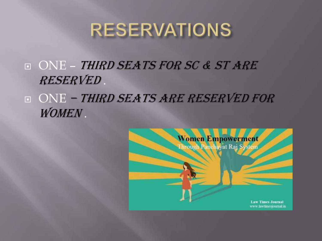## **RESERVATIONS**

- **D ONE THIRD SEATS FOR SC & ST ARE** RESERVED .
- ONE THIRD SEATS ARE RESERVED FOR WOMEN .

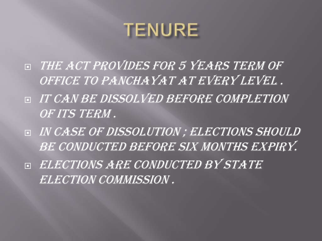## **TENURE**

- **EXTRACT PROVIDES FOR 5 YEARS TERM OF** OFFICE TO PANCHAYAT AT EVERY LEVEL.
- **IT CAN BE DISSOLVED BEFORE COMPLETION** OF ITS TERM .
- IN CASE OF DISSOLUTION ; ELECTIONS SHOULD BE CONDUCTED BEFORE SIX MONTHS EXPIRY.
- ELECTIONS ARE CONDUCTED BY STATE ELECTION COMMISSION .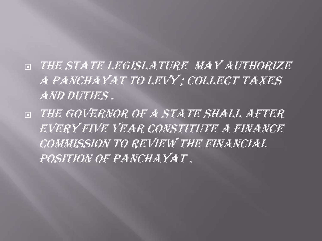- **EXTATE LEGISLATURE MAY AUTHORIZE** A PANCHAYAT TO LEVY; COLLECT TAXES AND DUTIES .
- **EXTHE GOVERNOR OF A STATE SHALL AFTER** EVERY FIVE YEAR CONSTITUTE A FINANCE COMMISSION TO REVIEW THE FINANCIAL POSITION OF PANCHAYAT.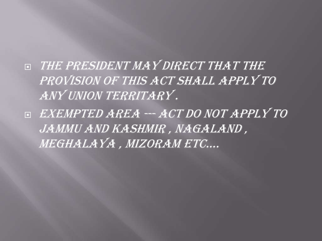- **ENTERT PRESIDENT MAY DIRECT THAT THE** PROVISION OF THIS ACT SHALL APPLY TO ANY UNION TERRITARY .
- EXEMPTED AREA --- ACT DO NOT APPLY TO JAMMU AND KASHMIR , NAGALAND , MEGHALAYA , MIZORAM ETC….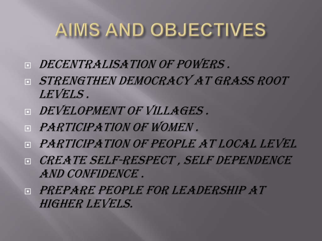# AIMS AND OBJECTIVES

- **E DECENTRALISATION OF POWERS.**
- **E STRENGTHEN DEMOCRACY AT GRASS ROOT** LEVELS .
- **DEVELOPMENT OF VILLAGES.**
- **F PARTICIPATION OF WOMEN.**
- **E PARTICIPATION OF PEOPLE AT LOCAL LEVEL**
- **DE CREATE SELF-RESPECT, SELF DEPENDENCE** AND CONFIDENCE .
- PREPARE PEOPLE FOR LEADERSHIP AT HIGHER LEVELS.